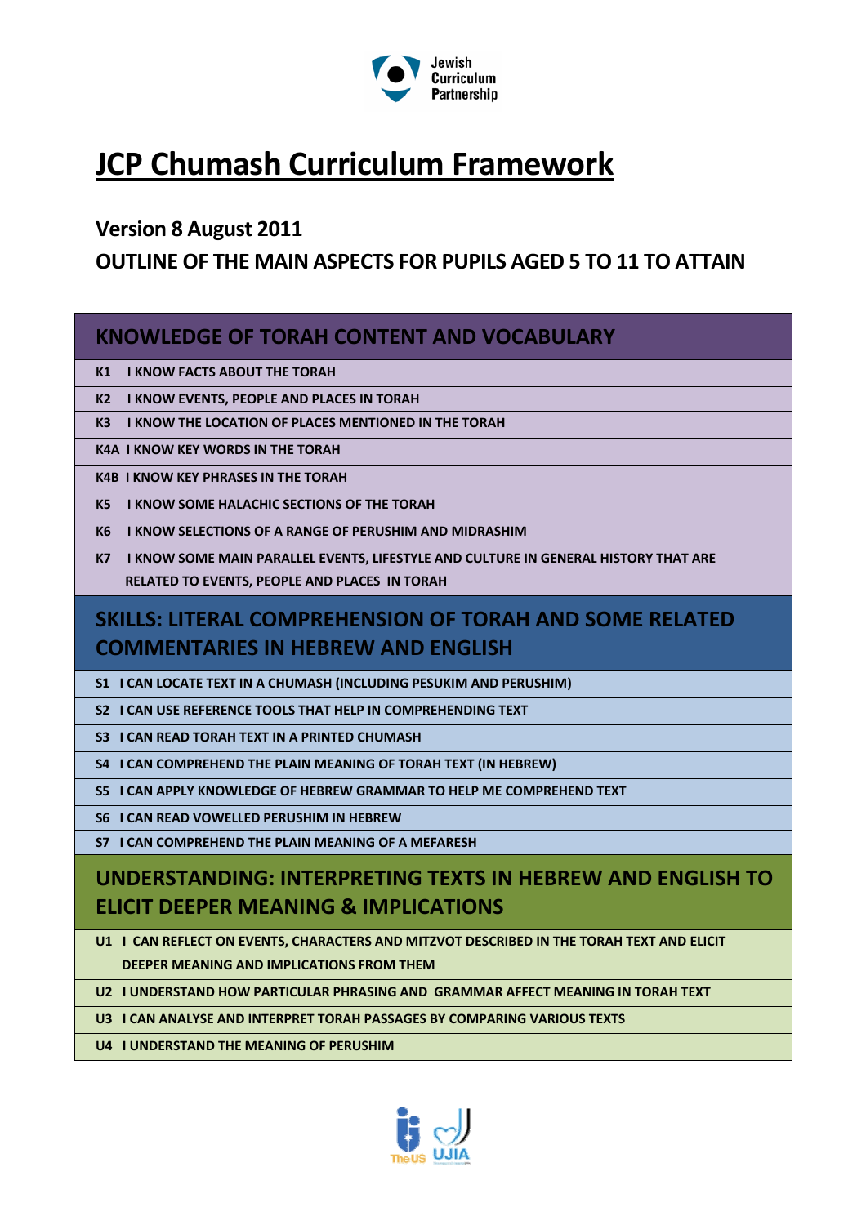

# **JCP Chumash Curriculum Framework**

### **Version 8 August 2011**

### **OUTLINE OF THE MAIN ASPECTS FOR PUPILS AGED 5 TO 11 TO ATTAIN**

### **KNOWLEDGE OF TORAH CONTENT AND VOCABULARY**

**K1 I KNOW FACTS ABOUT THE TORAH**

**K2 I KNOW EVENTS, PEOPLE AND PLACES IN TORAH**

**K3 I KNOW THE LOCATION OF PLACES MENTIONED IN THE TORAH**

**K4A I KNOW KEY WORDS IN THE TORAH**

**K4B I KNOW KEY PHRASES IN THE TORAH**

**K5 I KNOW SOME HALACHIC SECTIONS OF THE TORAH**

**K6 I KNOW SELECTIONS OF A RANGE OF PERUSHIM AND MIDRASHIM**

**K7 I KNOW SOME MAIN PARALLEL EVENTS, LIFESTYLE AND CULTURE IN GENERAL HISTORY THAT ARE RELATED TO EVENTS, PEOPLE AND PLACES IN TORAH**

# **SKILLS: LITERAL COMPREHENSION OF TORAH AND SOME RELATED COMMENTARIES IN HEBREW AND ENGLISH**

**S1 I CAN LOCATE TEXT IN A CHUMASH (INCLUDING PESUKIM AND PERUSHIM)**

**S2 I CAN USE REFERENCE TOOLS THAT HELP IN COMPREHENDING TEXT** 

**S3 I CAN READ TORAH TEXT IN A PRINTED CHUMASH**

**S4 I CAN COMPREHEND THE PLAIN MEANING OF TORAH TEXT (IN HEBREW)**

**S5 I CAN APPLY KNOWLEDGE OF HEBREW GRAMMAR TO HELP ME COMPREHEND TEXT**

**S6 I CAN READ VOWELLED PERUSHIM IN HEBREW** 

**S7 I CAN COMPREHEND THE PLAIN MEANING OF A MEFARESH** 

## **UNDERSTANDING: INTERPRETING TEXTS IN HEBREW AND ENGLISH TO ELICIT DEEPER MEANING & IMPLICATIONS**

U1 I CAN REFLECT ON EVENTS, CHARACTERS AND MITZVOT DESCRIBED IN THE TORAH TEXT AND ELICIT  **DEEPER MEANING AND IMPLICATIONS FROM THEM**

**U2 I UNDERSTAND HOW PARTICULAR PHRASING AND GRAMMAR AFFECT MEANING IN TORAH TEXT**

**U3 I CAN ANALYSE AND INTERPRET TORAH PASSAGES BY COMPARING VARIOUS TEXTS**

**U4 I UNDERSTAND THE MEANING OF PERUSHIM**

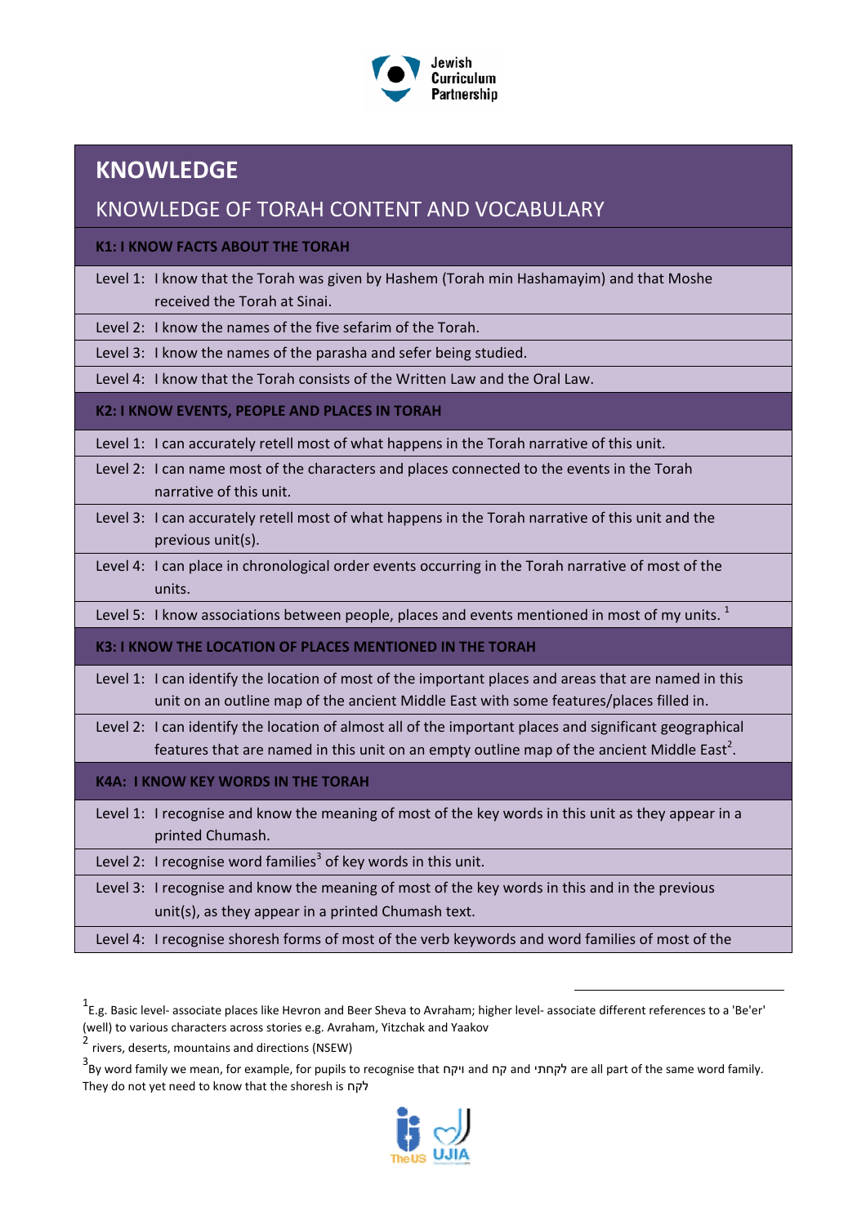

### **KNOWLEDGE**

### KNOWLEDGE OF TORAH CONTENT AND VOCABULARY

**K1: I KNOW FACTS ABOUT THE TORAH**

| Level 1: I know that the Torah was given by Hashem (Torah min Hashamayim) and that Moshe |
|------------------------------------------------------------------------------------------|
| received the Torah at Sinai.                                                             |

Level 2: I know the names of the five sefarim of the Torah.

Level 3: I know the names of the parasha and sefer being studied.

Level 4: I know that the Torah consists of the Written Law and the Oral Law.

#### **K2: I KNOW EVENTS, PEOPLE AND PLACES IN TORAH**

Level 1: I can accurately retell most of what happens in the Torah narrative of this unit.

- Level 2: I can name most of the characters and places connected to the events in the Torah narrative of this unit.
- Level 3: I can accurately retell most of what happens in the Torah narrative of this unit and the previous unit(s).
- Level 4: I can place in chronological order events occurring in the Torah narrative of most of the units.

Level 5: I know associations between people, places and events mentioned in most of my units.  $<sup>1</sup>$ </sup>

#### **K3: I KNOW THE LOCATION OF PLACES MENTIONED IN THE TORAH**

Level 1: I can identify the location of most of the important places and areas that are named in this unit on an outline map of the ancient Middle East with some features/places filled in.

Level 2: I can identify the location of almost all of the important places and significant geographical features that are named in this unit on an empty outline map of the ancient Middle East<sup>2</sup>.

#### **K4A: I KNOW KEY WORDS IN THE TORAH**

Level 1: I recognise and know the meaning of most of the key words in this unit as they appear in a printed Chumash.

Level 2: I recognise word families<sup>3</sup> of key words in this unit.

Level 3: I recognise and know the meaning of most of the key words in this and in the previous unit(s), as they appear in a printed Chumash text.

Level 4: I recognise shoresh forms of most of the verb keywords and word families of most of the

 $\overline{a}$ 

<sup>3&</sup>lt;br>- are all part of the same word family. לקחתי and ויקח and ויקח and לקחתי are all part of the same word family. They do not yet need to know that the shoresh is לקח



<sup>1&</sup>lt;br>↑E.g. Basic level- associate places like Hevron and Beer Sheva to Avraham; higher level- associate different references to a 'Be'er' (well) to various characters across stories e.g. Avraham, Yitzchak and Yaakov

<sup>2</sup> rivers, deserts, mountains and directions (NSEW)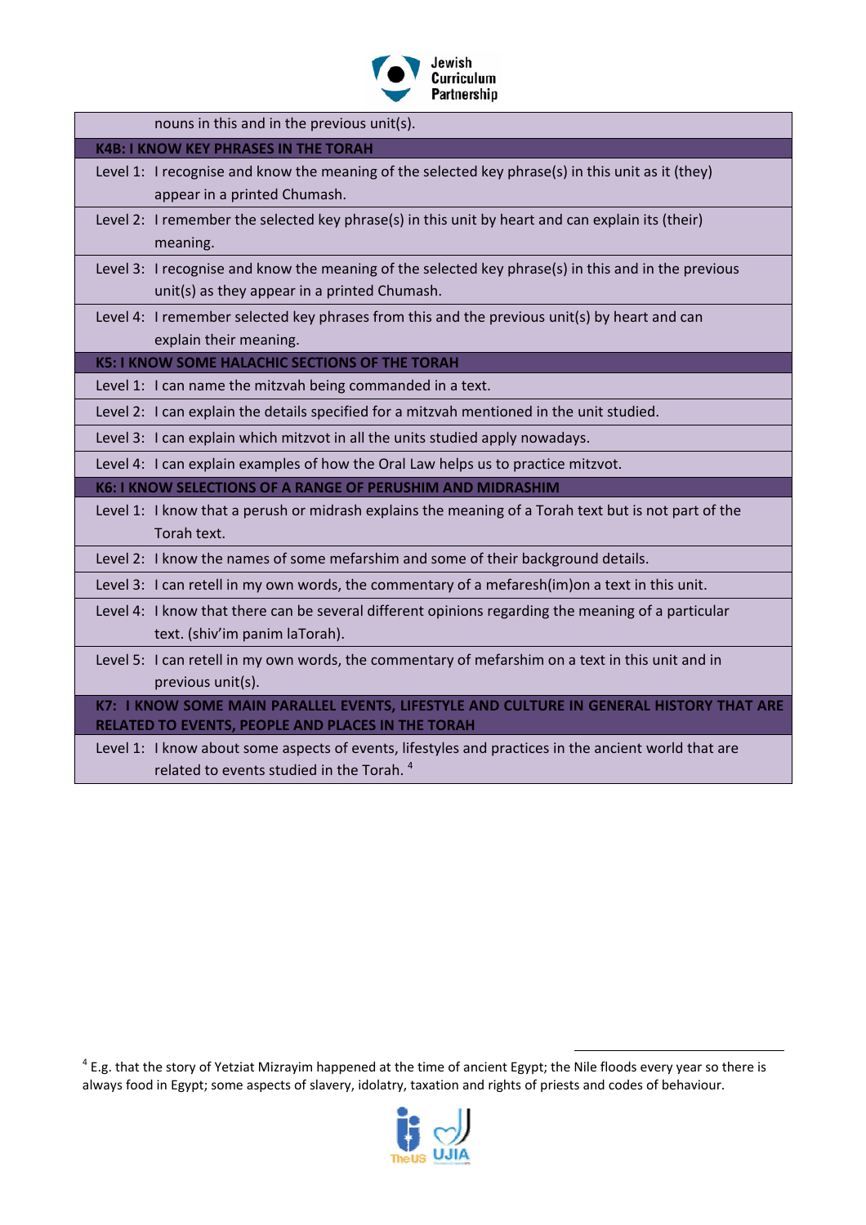

| nouns in this and in the previous unit(s).                                                                                                          |
|-----------------------------------------------------------------------------------------------------------------------------------------------------|
| <b>K4B: I KNOW KEY PHRASES IN THE TORAH</b>                                                                                                         |
| Level 1: I recognise and know the meaning of the selected key phrase(s) in this unit as it (they)<br>appear in a printed Chumash.                   |
| Level 2: I remember the selected key phrase(s) in this unit by heart and can explain its (their)<br>meaning.                                        |
| Level 3: I recognise and know the meaning of the selected key phrase(s) in this and in the previous<br>unit(s) as they appear in a printed Chumash. |
| Level 4: I remember selected key phrases from this and the previous unit(s) by heart and can                                                        |
| explain their meaning.                                                                                                                              |
| <b>K5: I KNOW SOME HALACHIC SECTIONS OF THE TORAH</b>                                                                                               |
| Level 1: I can name the mitzvah being commanded in a text.                                                                                          |
| Level 2: I can explain the details specified for a mitzvah mentioned in the unit studied.                                                           |
| Level 3: I can explain which mitzvot in all the units studied apply nowadays.                                                                       |
| Level 4: I can explain examples of how the Oral Law helps us to practice mitzvot.                                                                   |
| <b>K6: I KNOW SELECTIONS OF A RANGE OF PERUSHIM AND MIDRASHIM</b>                                                                                   |
| Level 1: I know that a perush or midrash explains the meaning of a Torah text but is not part of the<br>Torah text.                                 |
| Level 2: I know the names of some mefarshim and some of their background details.                                                                   |
| Level 3: I can retell in my own words, the commentary of a mefaresh(im)on a text in this unit.                                                      |
| Level 4: I know that there can be several different opinions regarding the meaning of a particular<br>text. (shiv'im panim laTorah).                |
| Level 5: I can retell in my own words, the commentary of mefarshim on a text in this unit and in<br>previous unit(s).                               |
| K7: I KNOW SOME MAIN PARALLEL EVENTS, LIFESTYLE AND CULTURE IN GENERAL HISTORY THAT ARE<br>RELATED TO EVENTS, PEOPLE AND PLACES IN THE TORAH        |
| Level 1: I know about some aspects of events, lifestyles and practices in the ancient world that are                                                |

related to events studied in the Torah. <sup>4</sup>

 $^4$  E.g. that the story of Yetziat Mizrayim happened at the time of ancient Egypt; the Nile floods every year so there is always food in Egypt; some aspects of slavery, idolatry, taxation and rights of priests and codes of behaviour.

 $\overline{a}$ 

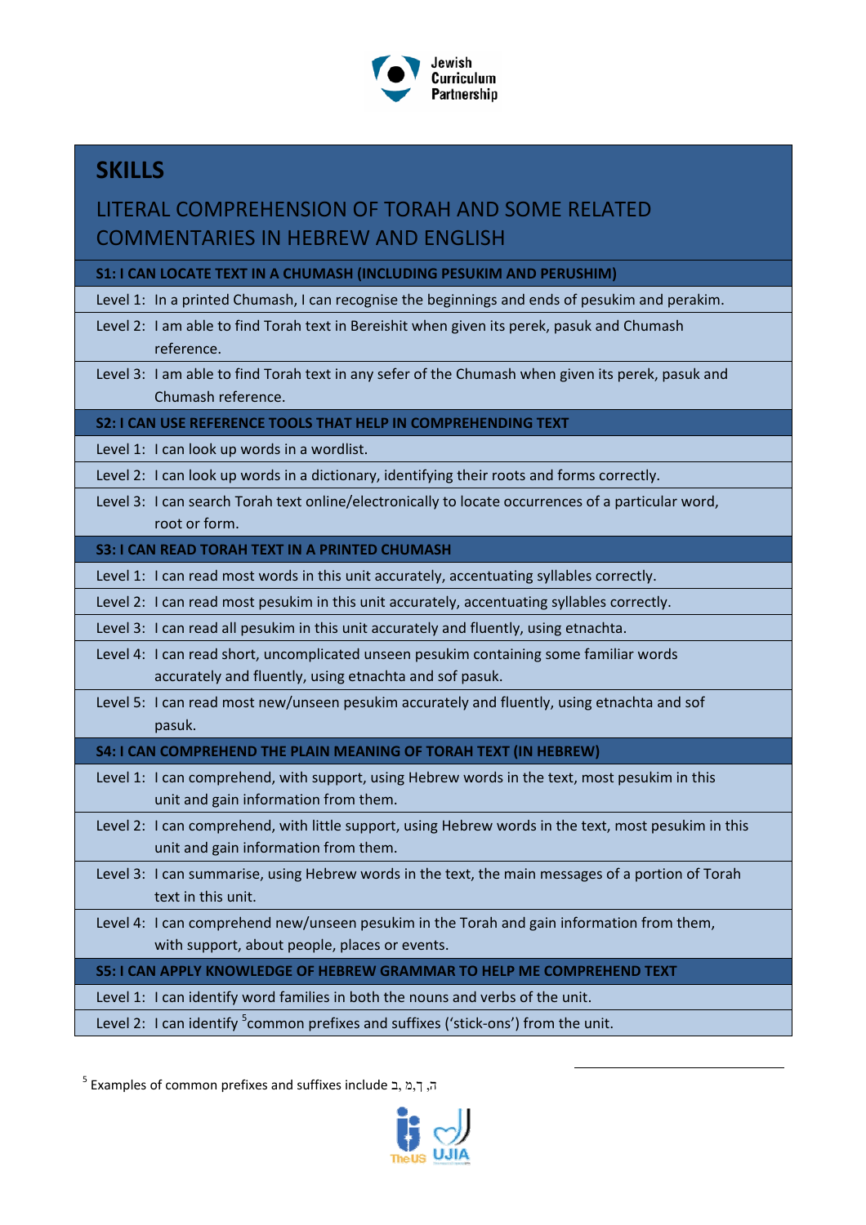

# **SKILLS**

### LITERAL COMPREHENSION OF TORAH AND SOME RELATED COMMENTARIES IN HEBREW AND ENGLISH

**S1: I CAN LOCATE TEXT IN A CHUMASH (INCLUDING PESUKIM AND PERUSHIM)**

Level 1: In a printed Chumash, I can recognise the beginnings and ends of pesukim and perakim.

- Level 2: I am able to find Torah text in Bereishit when given its perek, pasuk and Chumash reference.
- Level 3: I am able to find Torah text in any sefer of the Chumash when given its perek, pasuk and Chumash reference.

**S2: I CAN USE REFERENCE TOOLS THAT HELP IN COMPREHENDING TEXT**

Level 1: I can look up words in a wordlist.

Level 2: I can look up words in a dictionary, identifying their roots and forms correctly.

Level 3: I can search Torah text online/electronically to locate occurrences of a particular word, root or form.

#### **S3: I CAN READ TORAH TEXT IN A PRINTED CHUMASH**

- Level 1: I can read most words in this unit accurately, accentuating syllables correctly.
- Level 2: I can read most pesukim in this unit accurately, accentuating syllables correctly.

Level 3: I can read all pesukim in this unit accurately and fluently, using etnachta.

- Level 4: I can read short, uncomplicated unseen pesukim containing some familiar words accurately and fluently, using etnachta and sof pasuk.
- Level 5: I can read most new/unseen pesukim accurately and fluently, using etnachta and sof pasuk.

#### **S4: I CAN COMPREHEND THE PLAIN MEANING OF TORAH TEXT (IN HEBREW)**

- Level 1: I can comprehend, with support, using Hebrew words in the text, most pesukim in this unit and gain information from them.
- Level 2: I can comprehend, with little support, using Hebrew words in the text, most pesukim in this unit and gain information from them.
- Level 3: I can summarise, using Hebrew words in the text, the main messages of a portion of Torah text in this unit.
- Level 4: I can comprehend new/unseen pesukim in the Torah and gain information from them, with support, about people, places or events.

**S5: I CAN APPLY KNOWLEDGE OF HEBREW GRAMMAR TO HELP ME COMPREHEND TEXT**

Level 1: I can identify word families in both the nouns and verbs of the unit.

Level 2: I can identify <sup>5</sup>common prefixes and suffixes ('stick-ons') from the unit.

<sup>5</sup> Examples of common prefixes and suffixes include ב, מ,ך ,ה



 $\overline{a}$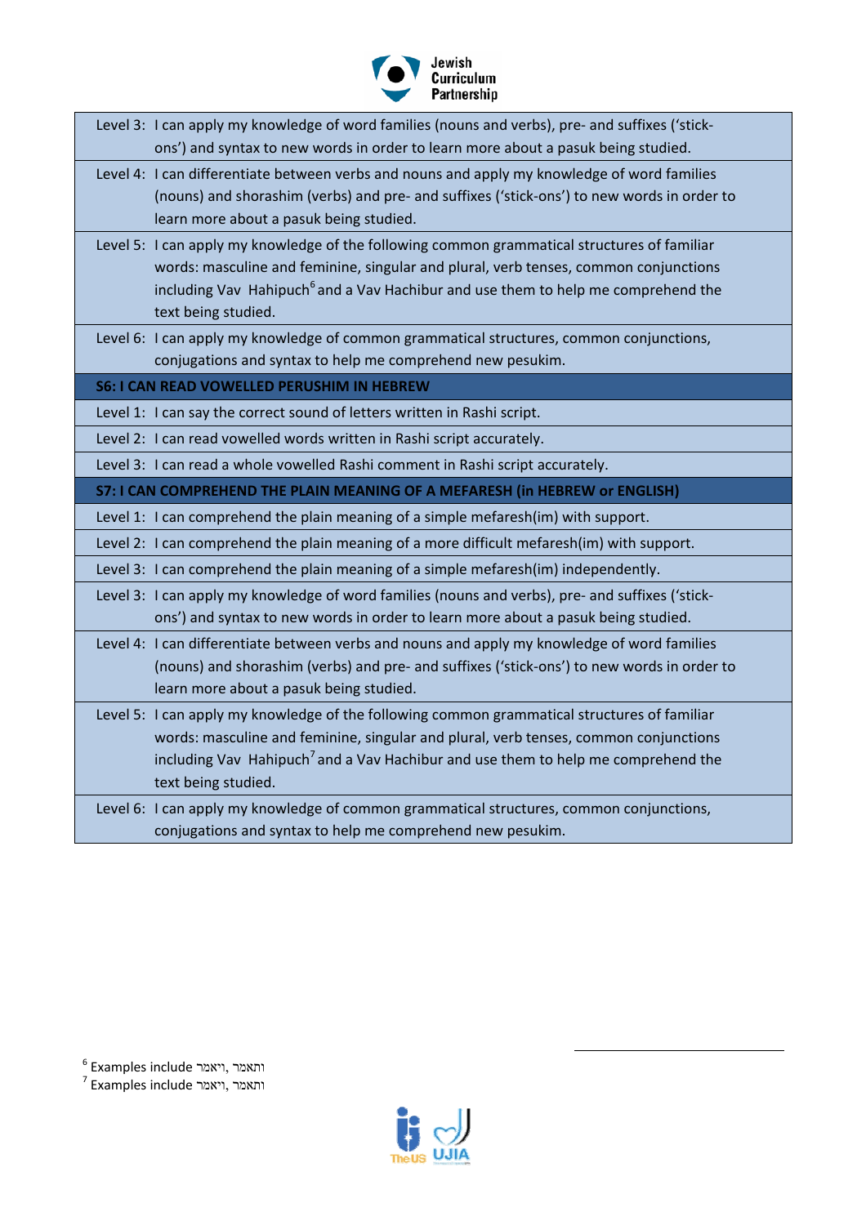

| Level 3: I can apply my knowledge of word families (nouns and verbs), pre- and suffixes ('stick-<br>ons') and syntax to new words in order to learn more about a pasuk being studied.<br>Level 4: I can differentiate between verbs and nouns and apply my knowledge of word families<br>(nouns) and shorashim (verbs) and pre- and suffixes ('stick-ons') to new words in order to<br>learn more about a pasuk being studied.<br>Level 5: I can apply my knowledge of the following common grammatical structures of familiar<br>words: masculine and feminine, singular and plural, verb tenses, common conjunctions<br>including Vav Hahipuch <sup>6</sup> and a Vav Hachibur and use them to help me comprehend the<br>text being studied.<br>Level 6: I can apply my knowledge of common grammatical structures, common conjunctions,<br>conjugations and syntax to help me comprehend new pesukim.<br><b>S6: I CAN READ VOWELLED PERUSHIM IN HEBREW</b><br>Level 1: I can say the correct sound of letters written in Rashi script.<br>Level 2: I can read vowelled words written in Rashi script accurately.<br>Level 3: I can read a whole vowelled Rashi comment in Rashi script accurately.<br><b>S7: I CAN COMPREHEND THE PLAIN MEANING OF A MEFARESH (in HEBREW or ENGLISH)</b><br>Level 1: I can comprehend the plain meaning of a simple mefaresh(im) with support.<br>Level 2: I can comprehend the plain meaning of a more difficult mefaresh(im) with support.<br>Level 3: I can comprehend the plain meaning of a simple mefaresh(im) independently.<br>Level 3: I can apply my knowledge of word families (nouns and verbs), pre- and suffixes ('stick-<br>ons') and syntax to new words in order to learn more about a pasuk being studied.<br>Level 4: I can differentiate between verbs and nouns and apply my knowledge of word families<br>(nouns) and shorashim (verbs) and pre- and suffixes ('stick-ons') to new words in order to<br>learn more about a pasuk being studied.<br>Level 5: I can apply my knowledge of the following common grammatical structures of familiar<br>words: masculine and feminine, singular and plural, verb tenses, common conjunctions<br>including Vav Hahipuch <sup>7</sup> and a Vav Hachibur and use them to help me comprehend the<br>text being studied.<br>Level 6: I can apply my knowledge of common grammatical structures, common conjunctions,<br>conjugations and syntax to help me comprehend new pesukim. |  |
|------------------------------------------------------------------------------------------------------------------------------------------------------------------------------------------------------------------------------------------------------------------------------------------------------------------------------------------------------------------------------------------------------------------------------------------------------------------------------------------------------------------------------------------------------------------------------------------------------------------------------------------------------------------------------------------------------------------------------------------------------------------------------------------------------------------------------------------------------------------------------------------------------------------------------------------------------------------------------------------------------------------------------------------------------------------------------------------------------------------------------------------------------------------------------------------------------------------------------------------------------------------------------------------------------------------------------------------------------------------------------------------------------------------------------------------------------------------------------------------------------------------------------------------------------------------------------------------------------------------------------------------------------------------------------------------------------------------------------------------------------------------------------------------------------------------------------------------------------------------------------------------------------------------------------------------------------------------------------------------------------------------------------------------------------------------------------------------------------------------------------------------------------------------------------------------------------------------------------------------------------------------------------------------------------------------------------------------------------------------------------------------------------------------------------------------------------------------------------------|--|
|                                                                                                                                                                                                                                                                                                                                                                                                                                                                                                                                                                                                                                                                                                                                                                                                                                                                                                                                                                                                                                                                                                                                                                                                                                                                                                                                                                                                                                                                                                                                                                                                                                                                                                                                                                                                                                                                                                                                                                                                                                                                                                                                                                                                                                                                                                                                                                                                                                                                                    |  |
|                                                                                                                                                                                                                                                                                                                                                                                                                                                                                                                                                                                                                                                                                                                                                                                                                                                                                                                                                                                                                                                                                                                                                                                                                                                                                                                                                                                                                                                                                                                                                                                                                                                                                                                                                                                                                                                                                                                                                                                                                                                                                                                                                                                                                                                                                                                                                                                                                                                                                    |  |
|                                                                                                                                                                                                                                                                                                                                                                                                                                                                                                                                                                                                                                                                                                                                                                                                                                                                                                                                                                                                                                                                                                                                                                                                                                                                                                                                                                                                                                                                                                                                                                                                                                                                                                                                                                                                                                                                                                                                                                                                                                                                                                                                                                                                                                                                                                                                                                                                                                                                                    |  |
|                                                                                                                                                                                                                                                                                                                                                                                                                                                                                                                                                                                                                                                                                                                                                                                                                                                                                                                                                                                                                                                                                                                                                                                                                                                                                                                                                                                                                                                                                                                                                                                                                                                                                                                                                                                                                                                                                                                                                                                                                                                                                                                                                                                                                                                                                                                                                                                                                                                                                    |  |
|                                                                                                                                                                                                                                                                                                                                                                                                                                                                                                                                                                                                                                                                                                                                                                                                                                                                                                                                                                                                                                                                                                                                                                                                                                                                                                                                                                                                                                                                                                                                                                                                                                                                                                                                                                                                                                                                                                                                                                                                                                                                                                                                                                                                                                                                                                                                                                                                                                                                                    |  |
|                                                                                                                                                                                                                                                                                                                                                                                                                                                                                                                                                                                                                                                                                                                                                                                                                                                                                                                                                                                                                                                                                                                                                                                                                                                                                                                                                                                                                                                                                                                                                                                                                                                                                                                                                                                                                                                                                                                                                                                                                                                                                                                                                                                                                                                                                                                                                                                                                                                                                    |  |
|                                                                                                                                                                                                                                                                                                                                                                                                                                                                                                                                                                                                                                                                                                                                                                                                                                                                                                                                                                                                                                                                                                                                                                                                                                                                                                                                                                                                                                                                                                                                                                                                                                                                                                                                                                                                                                                                                                                                                                                                                                                                                                                                                                                                                                                                                                                                                                                                                                                                                    |  |
|                                                                                                                                                                                                                                                                                                                                                                                                                                                                                                                                                                                                                                                                                                                                                                                                                                                                                                                                                                                                                                                                                                                                                                                                                                                                                                                                                                                                                                                                                                                                                                                                                                                                                                                                                                                                                                                                                                                                                                                                                                                                                                                                                                                                                                                                                                                                                                                                                                                                                    |  |
|                                                                                                                                                                                                                                                                                                                                                                                                                                                                                                                                                                                                                                                                                                                                                                                                                                                                                                                                                                                                                                                                                                                                                                                                                                                                                                                                                                                                                                                                                                                                                                                                                                                                                                                                                                                                                                                                                                                                                                                                                                                                                                                                                                                                                                                                                                                                                                                                                                                                                    |  |
|                                                                                                                                                                                                                                                                                                                                                                                                                                                                                                                                                                                                                                                                                                                                                                                                                                                                                                                                                                                                                                                                                                                                                                                                                                                                                                                                                                                                                                                                                                                                                                                                                                                                                                                                                                                                                                                                                                                                                                                                                                                                                                                                                                                                                                                                                                                                                                                                                                                                                    |  |
|                                                                                                                                                                                                                                                                                                                                                                                                                                                                                                                                                                                                                                                                                                                                                                                                                                                                                                                                                                                                                                                                                                                                                                                                                                                                                                                                                                                                                                                                                                                                                                                                                                                                                                                                                                                                                                                                                                                                                                                                                                                                                                                                                                                                                                                                                                                                                                                                                                                                                    |  |
|                                                                                                                                                                                                                                                                                                                                                                                                                                                                                                                                                                                                                                                                                                                                                                                                                                                                                                                                                                                                                                                                                                                                                                                                                                                                                                                                                                                                                                                                                                                                                                                                                                                                                                                                                                                                                                                                                                                                                                                                                                                                                                                                                                                                                                                                                                                                                                                                                                                                                    |  |
|                                                                                                                                                                                                                                                                                                                                                                                                                                                                                                                                                                                                                                                                                                                                                                                                                                                                                                                                                                                                                                                                                                                                                                                                                                                                                                                                                                                                                                                                                                                                                                                                                                                                                                                                                                                                                                                                                                                                                                                                                                                                                                                                                                                                                                                                                                                                                                                                                                                                                    |  |
|                                                                                                                                                                                                                                                                                                                                                                                                                                                                                                                                                                                                                                                                                                                                                                                                                                                                                                                                                                                                                                                                                                                                                                                                                                                                                                                                                                                                                                                                                                                                                                                                                                                                                                                                                                                                                                                                                                                                                                                                                                                                                                                                                                                                                                                                                                                                                                                                                                                                                    |  |
|                                                                                                                                                                                                                                                                                                                                                                                                                                                                                                                                                                                                                                                                                                                                                                                                                                                                                                                                                                                                                                                                                                                                                                                                                                                                                                                                                                                                                                                                                                                                                                                                                                                                                                                                                                                                                                                                                                                                                                                                                                                                                                                                                                                                                                                                                                                                                                                                                                                                                    |  |
|                                                                                                                                                                                                                                                                                                                                                                                                                                                                                                                                                                                                                                                                                                                                                                                                                                                                                                                                                                                                                                                                                                                                                                                                                                                                                                                                                                                                                                                                                                                                                                                                                                                                                                                                                                                                                                                                                                                                                                                                                                                                                                                                                                                                                                                                                                                                                                                                                                                                                    |  |
|                                                                                                                                                                                                                                                                                                                                                                                                                                                                                                                                                                                                                                                                                                                                                                                                                                                                                                                                                                                                                                                                                                                                                                                                                                                                                                                                                                                                                                                                                                                                                                                                                                                                                                                                                                                                                                                                                                                                                                                                                                                                                                                                                                                                                                                                                                                                                                                                                                                                                    |  |
|                                                                                                                                                                                                                                                                                                                                                                                                                                                                                                                                                                                                                                                                                                                                                                                                                                                                                                                                                                                                                                                                                                                                                                                                                                                                                                                                                                                                                                                                                                                                                                                                                                                                                                                                                                                                                                                                                                                                                                                                                                                                                                                                                                                                                                                                                                                                                                                                                                                                                    |  |
|                                                                                                                                                                                                                                                                                                                                                                                                                                                                                                                                                                                                                                                                                                                                                                                                                                                                                                                                                                                                                                                                                                                                                                                                                                                                                                                                                                                                                                                                                                                                                                                                                                                                                                                                                                                                                                                                                                                                                                                                                                                                                                                                                                                                                                                                                                                                                                                                                                                                                    |  |
|                                                                                                                                                                                                                                                                                                                                                                                                                                                                                                                                                                                                                                                                                                                                                                                                                                                                                                                                                                                                                                                                                                                                                                                                                                                                                                                                                                                                                                                                                                                                                                                                                                                                                                                                                                                                                                                                                                                                                                                                                                                                                                                                                                                                                                                                                                                                                                                                                                                                                    |  |
|                                                                                                                                                                                                                                                                                                                                                                                                                                                                                                                                                                                                                                                                                                                                                                                                                                                                                                                                                                                                                                                                                                                                                                                                                                                                                                                                                                                                                                                                                                                                                                                                                                                                                                                                                                                                                                                                                                                                                                                                                                                                                                                                                                                                                                                                                                                                                                                                                                                                                    |  |
|                                                                                                                                                                                                                                                                                                                                                                                                                                                                                                                                                                                                                                                                                                                                                                                                                                                                                                                                                                                                                                                                                                                                                                                                                                                                                                                                                                                                                                                                                                                                                                                                                                                                                                                                                                                                                                                                                                                                                                                                                                                                                                                                                                                                                                                                                                                                                                                                                                                                                    |  |
|                                                                                                                                                                                                                                                                                                                                                                                                                                                                                                                                                                                                                                                                                                                                                                                                                                                                                                                                                                                                                                                                                                                                                                                                                                                                                                                                                                                                                                                                                                                                                                                                                                                                                                                                                                                                                                                                                                                                                                                                                                                                                                                                                                                                                                                                                                                                                                                                                                                                                    |  |
|                                                                                                                                                                                                                                                                                                                                                                                                                                                                                                                                                                                                                                                                                                                                                                                                                                                                                                                                                                                                                                                                                                                                                                                                                                                                                                                                                                                                                                                                                                                                                                                                                                                                                                                                                                                                                                                                                                                                                                                                                                                                                                                                                                                                                                                                                                                                                                                                                                                                                    |  |
|                                                                                                                                                                                                                                                                                                                                                                                                                                                                                                                                                                                                                                                                                                                                                                                                                                                                                                                                                                                                                                                                                                                                                                                                                                                                                                                                                                                                                                                                                                                                                                                                                                                                                                                                                                                                                                                                                                                                                                                                                                                                                                                                                                                                                                                                                                                                                                                                                                                                                    |  |
|                                                                                                                                                                                                                                                                                                                                                                                                                                                                                                                                                                                                                                                                                                                                                                                                                                                                                                                                                                                                                                                                                                                                                                                                                                                                                                                                                                                                                                                                                                                                                                                                                                                                                                                                                                                                                                                                                                                                                                                                                                                                                                                                                                                                                                                                                                                                                                                                                                                                                    |  |
|                                                                                                                                                                                                                                                                                                                                                                                                                                                                                                                                                                                                                                                                                                                                                                                                                                                                                                                                                                                                                                                                                                                                                                                                                                                                                                                                                                                                                                                                                                                                                                                                                                                                                                                                                                                                                                                                                                                                                                                                                                                                                                                                                                                                                                                                                                                                                                                                                                                                                    |  |
|                                                                                                                                                                                                                                                                                                                                                                                                                                                                                                                                                                                                                                                                                                                                                                                                                                                                                                                                                                                                                                                                                                                                                                                                                                                                                                                                                                                                                                                                                                                                                                                                                                                                                                                                                                                                                                                                                                                                                                                                                                                                                                                                                                                                                                                                                                                                                                                                                                                                                    |  |
|                                                                                                                                                                                                                                                                                                                                                                                                                                                                                                                                                                                                                                                                                                                                                                                                                                                                                                                                                                                                                                                                                                                                                                                                                                                                                                                                                                                                                                                                                                                                                                                                                                                                                                                                                                                                                                                                                                                                                                                                                                                                                                                                                                                                                                                                                                                                                                                                                                                                                    |  |
|                                                                                                                                                                                                                                                                                                                                                                                                                                                                                                                                                                                                                                                                                                                                                                                                                                                                                                                                                                                                                                                                                                                                                                                                                                                                                                                                                                                                                                                                                                                                                                                                                                                                                                                                                                                                                                                                                                                                                                                                                                                                                                                                                                                                                                                                                                                                                                                                                                                                                    |  |

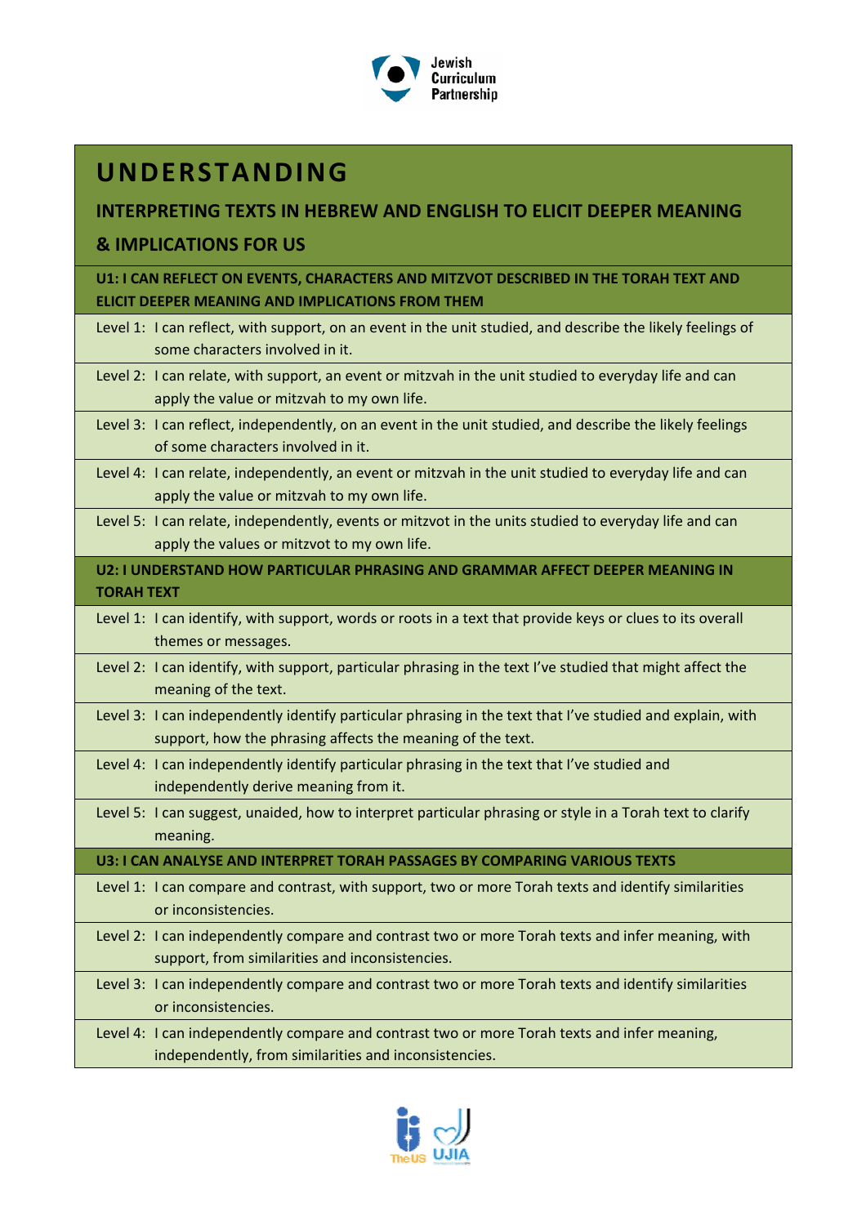

# **UNDERSTANDING**

### **INTERPRETING TEXTS IN HEBREW AND ENGLISH TO ELICIT DEEPER MEANING**

### **& IMPLICATIONS FOR US**

**U1: I CAN REFLECT ON EVENTS, CHARACTERS AND MITZVOT DESCRIBED IN THE TORAH TEXT AND ELICIT DEEPER MEANING AND IMPLICATIONS FROM THEM**

|                   | Level 1: I can reflect, with support, on an event in the unit studied, and describe the likely feelings of<br>some characters involved in it.                           |
|-------------------|-------------------------------------------------------------------------------------------------------------------------------------------------------------------------|
|                   | Level 2: I can relate, with support, an event or mitzvah in the unit studied to everyday life and can<br>apply the value or mitzvah to my own life.                     |
|                   | Level 3: I can reflect, independently, on an event in the unit studied, and describe the likely feelings<br>of some characters involved in it.                          |
|                   | Level 4: I can relate, independently, an event or mitzvah in the unit studied to everyday life and can<br>apply the value or mitzvah to my own life.                    |
|                   | Level 5: I can relate, independently, events or mitzvot in the units studied to everyday life and can<br>apply the values or mitzvot to my own life.                    |
| <b>TORAH TEXT</b> | U2: I UNDERSTAND HOW PARTICULAR PHRASING AND GRAMMAR AFFECT DEEPER MEANING IN                                                                                           |
|                   | Level 1: I can identify, with support, words or roots in a text that provide keys or clues to its overall<br>themes or messages.                                        |
|                   | Level 2: I can identify, with support, particular phrasing in the text I've studied that might affect the<br>meaning of the text.                                       |
|                   | Level 3: I can independently identify particular phrasing in the text that I've studied and explain, with<br>support, how the phrasing affects the meaning of the text. |
|                   | Level 4: I can independently identify particular phrasing in the text that I've studied and<br>independently derive meaning from it.                                    |
|                   | Level 5: I can suggest, unaided, how to interpret particular phrasing or style in a Torah text to clarify<br>meaning.                                                   |
|                   | U3: I CAN ANALYSE AND INTERPRET TORAH PASSAGES BY COMPARING VARIOUS TEXTS                                                                                               |
|                   | Level 1: I can compare and contrast, with support, two or more Torah texts and identify similarities<br>or inconsistencies.                                             |
|                   | Level 2: I can independently compare and contrast two or more Torah texts and infer meaning, with<br>support, from similarities and inconsistencies.                    |
|                   | Level 3: I can independently compare and contrast two or more Torah texts and identify similarities<br>or inconsistencies.                                              |
|                   | Level 4: I can independently compare and contrast two or more Torah texts and infer meaning,<br>independently, from similarities and inconsistencies.                   |